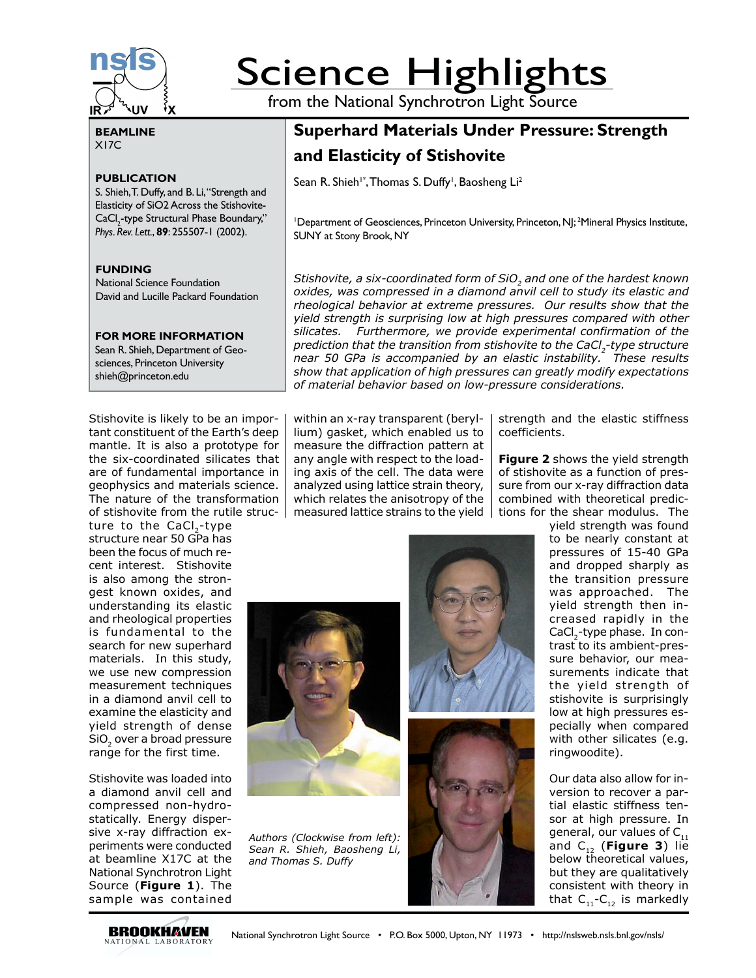

# **Science Highlights**

from the National Synchrotron Light Source

### **BEAMLINE** X17C

## **PUBLICATION**

S. Shieh, T. Duffy, and B. Li, "Strength and Elasticity of SiO2 Across the Stishovite-CaCl<sub>2</sub>-type Structural Phase Boundary," *Phys. Rev. Lett.*, **89**: 255507-1 (2002).

#### **FUNDING**

National Science Foundation David and Lucille Packard Foundation

#### **FOR MORE INFORMATION**

Sean R. Shieh, Department of Geosciences, Princeton University shieh@princeton.edu

Stishovite is likely to be an important constituent of the Earth's deep mantle. It is also a prototype for the six-coordinated silicates that are of fundamental importance in geophysics and materials science. The nature of the transformation of stishovite from the rutile struc-

ture to the CaCl<sub>2</sub>-type structure near 50 GPa has been the focus of much recent interest. Stishovite is also among the strongest known oxides, and understanding its elastic and rheological properties is fundamental to the search for new superhard materials. In this study, we use new compression measurement techniques in a diamond anvil cell to examine the elasticity and yield strength of dense SiO<sub>2</sub> over a broad pressure range for the first time.

Stishovite was loaded into a diamond anvil cell and compressed non-hydrostatically. Energy dispersive x-ray diffraction experiments were conducted at beamline X17C at the National Synchrotron Light Source (**Figure 1**). The sample was contained

# **Superhard Materials Under Pressure: Strength and Elasticity of Stishovite**

Sean R. Shieh<sup>1\*</sup>, Thomas S. Duffy<sup>1</sup>, Baosheng Li<sup>2</sup>

<sup>1</sup>Department of Geosciences, Princeton University, Princeton, NJ; <sup>2</sup>Mineral Physics Institute, SUNY at Stony Brook, NY

*Stishovite, a six-coordinated form of SiO<sub>2</sub> and one of the hardest known oxides, was compressed in a diamond anvil cell to study its elastic and rheological behavior at extreme pressures. Our results show that the yield strength is surprising low at high pressures compared with other silicates. Furthermore, we provide experimental confirmation of the prediction that the transition from stishovite to the CaCl<sub>2</sub>-type structure near 50 GPa is accompanied by an elastic instability. These results show that application of high pressures can greatly modify expectations of material behavior based on low-pressure considerations.*

within an x-ray transparent (beryllium) gasket, which enabled us to measure the diffraction pattern at any angle with respect to the loading axis of the cell. The data were analyzed using lattice strain theory, which relates the anisotropy of the measured lattice strains to the yield  $\parallel$  tions for the shear modulus. The

strength and the elastic stiffness coefficients.

**Figure 2** shows the yield strength of stishovite as a function of pressure from our x-ray diffraction data combined with theoretical predic-



*Authors (Clockwise from left): Sean R. Shieh, Baosheng Li, and Thomas S. Duffy*



yield strength was found to be nearly constant at pressures of 15-40 GPa and dropped sharply as the transition pressure was approached. The yield strength then increased rapidly in the CaCl<sub>2</sub>-type phase. In contrast to its ambient-pressure behavior, our measurements indicate that the yield strength of stishovite is surprisingly low at high pressures especially when compared with other silicates (e.g. ringwoodite).

Our data also allow for inversion to recover a partial elastic stiffness tensor at high pressure. In general, our values of  $C_{11}$ and  $C_{12}$  (**Figure 3**) lie below theoretical values, but they are qualitatively consistent with theory in that  $C_{11}$ - $C_{12}$  is markedly